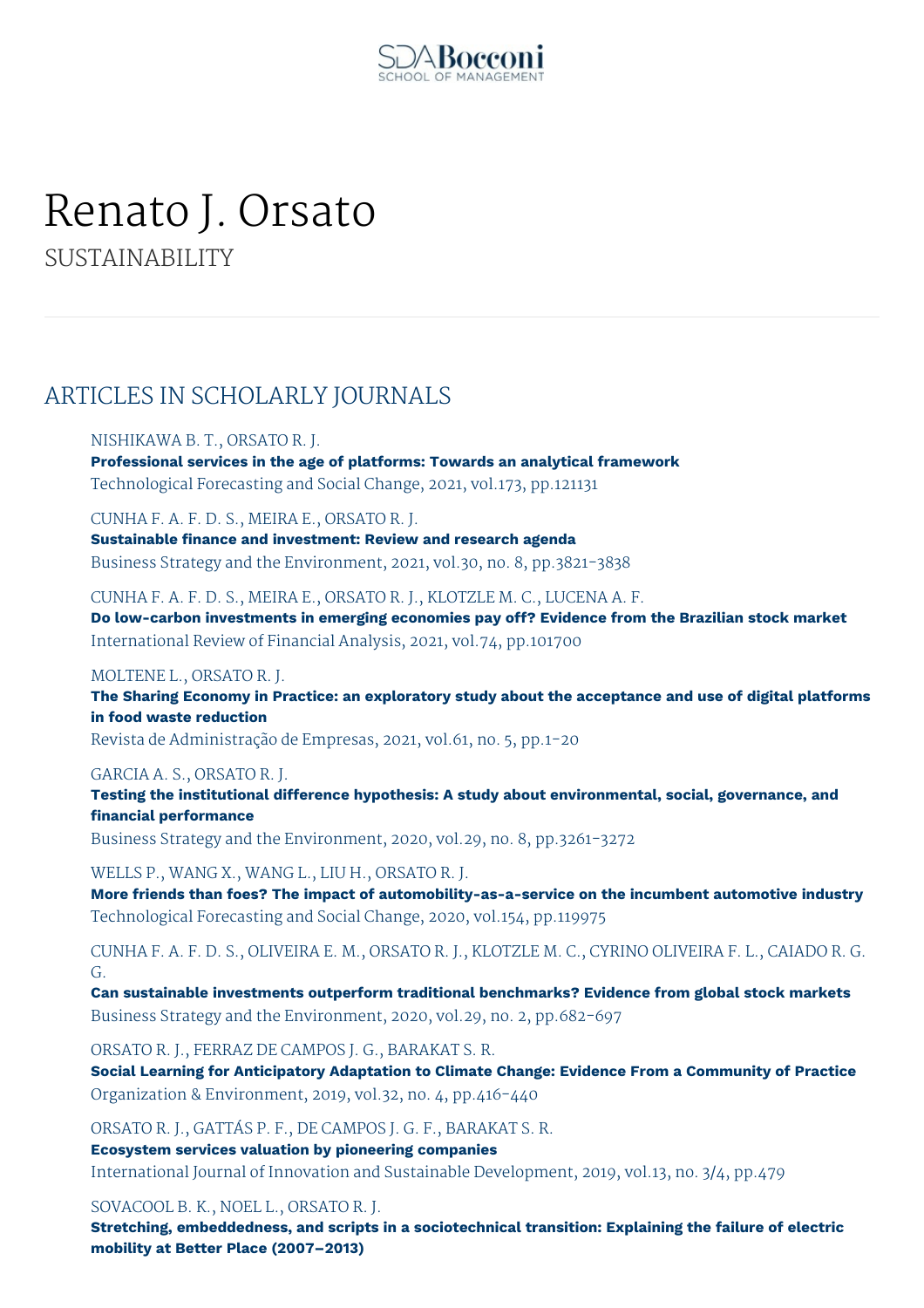

# Renato J. Orsato SUSTAINABILITY

ARTICLES IN SCHOLARLY JOURNALS

## NISHIKAWA B. T., ORSATO R. J.

**Professional services in the age of platforms: Towards an analytical framework** Technological Forecasting and Social Change, 2021, vol.173, pp.121131

CUNHA F. A. F. D. S., MEIRA E., ORSATO R. J.

**Sustainable finance and investment: Review and research agenda** Business Strategy and the Environment, 2021, vol.30, no. 8, pp.3821-3838

CUNHA F. A. F. D. S., MEIRA E., ORSATO R. J., KLOTZLE M. C., LUCENA A. F. **Do low-carbon investments in emerging economies pay off? Evidence from the Brazilian stock market** International Review of Financial Analysis, 2021, vol.74, pp.101700

#### MOLTENE L., ORSATO R. J.

**The Sharing Economy in Practice: an exploratory study about the acceptance and use of digital platforms in food waste reduction**

Revista de Administração de Empresas, 2021, vol.61, no. 5, pp.1-20

#### GARCIA A. S., ORSATO R. J.

**Testing the institutional difference hypothesis: A study about environmental, social, governance, and financial performance**

Business Strategy and the Environment, 2020, vol.29, no. 8, pp.3261-3272

#### WELLS P., WANG X., WANG L., LIU H., ORSATO R. J.

**More friends than foes? The impact of automobility-as-a-service on the incumbent automotive industry** Technological Forecasting and Social Change, 2020, vol.154, pp.119975

CUNHA F. A. F. D. S., OLIVEIRA E. M., ORSATO R. J., KLOTZLE M. C., CYRINO OLIVEIRA F. L., CAIADO R. G. G.

**Can sustainable investments outperform traditional benchmarks? Evidence from global stock markets** Business Strategy and the Environment, 2020, vol.29, no. 2, pp.682-697

ORSATO R. J., FERRAZ DE CAMPOS J. G., BARAKAT S. R.

**Social Learning for Anticipatory Adaptation to Climate Change: Evidence From a Community of Practice** Organization & Environment, 2019, vol.32, no. 4, pp.416-440

ORSATO R. J., GATTÁS P. F., DE CAMPOS J. G. F., BARAKAT S. R. **Ecosystem services valuation by pioneering companies**

International Journal of Innovation and Sustainable Development, 2019, vol.13, no. 3/4, pp.479

SOVACOOL B. K., NOEL L., ORSATO R. J.

**Stretching, embeddedness, and scripts in a sociotechnical transition: Explaining the failure of electric mobility at Better Place (2007–2013)**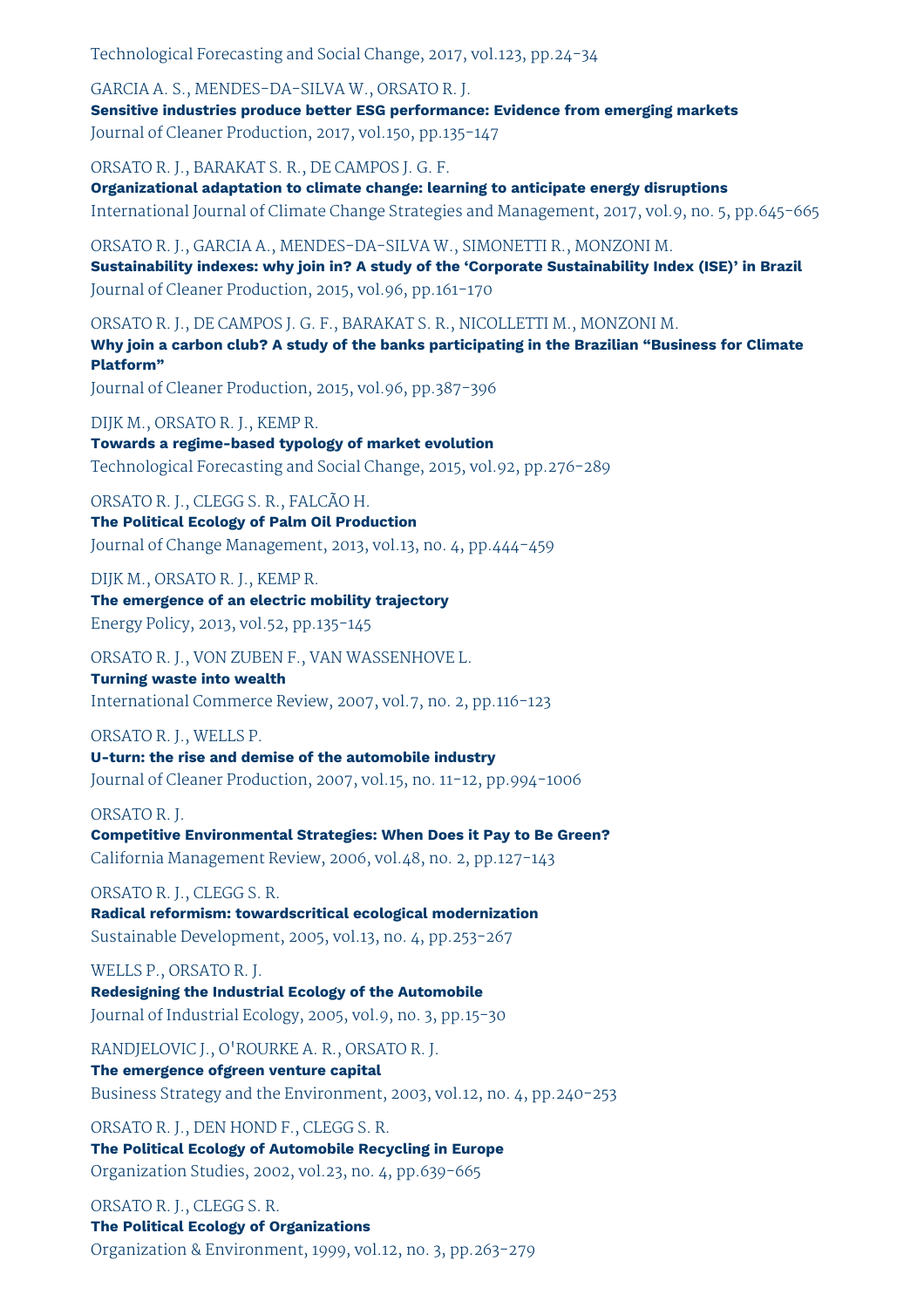Technological Forecasting and Social Change, 2017, vol.123, pp.24-34

GARCIA A. S., MENDES-DA-SILVA W., ORSATO R. J. **Sensitive industries produce better ESG performance: Evidence from emerging markets** Journal of Cleaner Production, 2017, vol.150, pp.135-147

ORSATO R. J., BARAKAT S. R., DE CAMPOS J. G. F.

**Organizational adaptation to climate change: learning to anticipate energy disruptions** International Journal of Climate Change Strategies and Management, 2017, vol.9, no. 5, pp.645-665

ORSATO R. J., GARCIA A., MENDES-DA-SILVA W., SIMONETTI R., MONZONI M. **Sustainability indexes: why join in? A study of the 'Corporate Sustainability Index (ISE)' in Brazil** Journal of Cleaner Production, 2015, vol.96, pp.161-170

ORSATO R. J., DE CAMPOS J. G. F., BARAKAT S. R., NICOLLETTI M., MONZONI M. **Why join a carbon club? A study of the banks participating in the Brazilian "Business for Climate Platform"** Journal of Cleaner Production, 2015, vol.96, pp.387-396

DIJK M., ORSATO R. J., KEMP R. **Towards a regime-based typology of market evolution** Technological Forecasting and Social Change, 2015, vol.92, pp.276-289

ORSATO R. J., CLEGG S. R., FALCÃO H.

**The Political Ecology of Palm Oil Production** Journal of Change Management, 2013, vol.13, no. 4, pp.444-459

DIJK M., ORSATO R. J., KEMP R. **The emergence of an electric mobility trajectory**

Energy Policy, 2013, vol.52, pp.135-145

ORSATO R. J., VON ZUBEN F., VAN WASSENHOVE L. **Turning waste into wealth** International Commerce Review, 2007, vol.7, no. 2, pp.116-123

ORSATO R. J., WELLS P. **U-turn: the rise and demise of the automobile industry** Journal of Cleaner Production, 2007, vol.15, no. 11-12, pp.994-1006

## ORSATO R. J.

**Competitive Environmental Strategies: When Does it Pay to Be Green?** California Management Review, 2006, vol.48, no. 2, pp.127-143

ORSATO R. J., CLEGG S. R. **Radical reformism: towardscritical ecological modernization**

Sustainable Development, 2005, vol.13, no. 4, pp.253-267

WELLS P., ORSATO R. J.

**Redesigning the Industrial Ecology of the Automobile** Journal of Industrial Ecology, 2005, vol.9, no. 3, pp.15-30

RANDJELOVIC J., O'ROURKE A. R., ORSATO R. J. **The emergence ofgreen venture capital** Business Strategy and the Environment, 2003, vol.12, no. 4, pp.240-253

ORSATO R. J., DEN HOND F., CLEGG S. R.

**The Political Ecology of Automobile Recycling in Europe** Organization Studies, 2002, vol.23, no. 4, pp.639-665

ORSATO R. J., CLEGG S. R. **The Political Ecology of Organizations** Organization & Environment, 1999, vol.12, no. 3, pp.263-279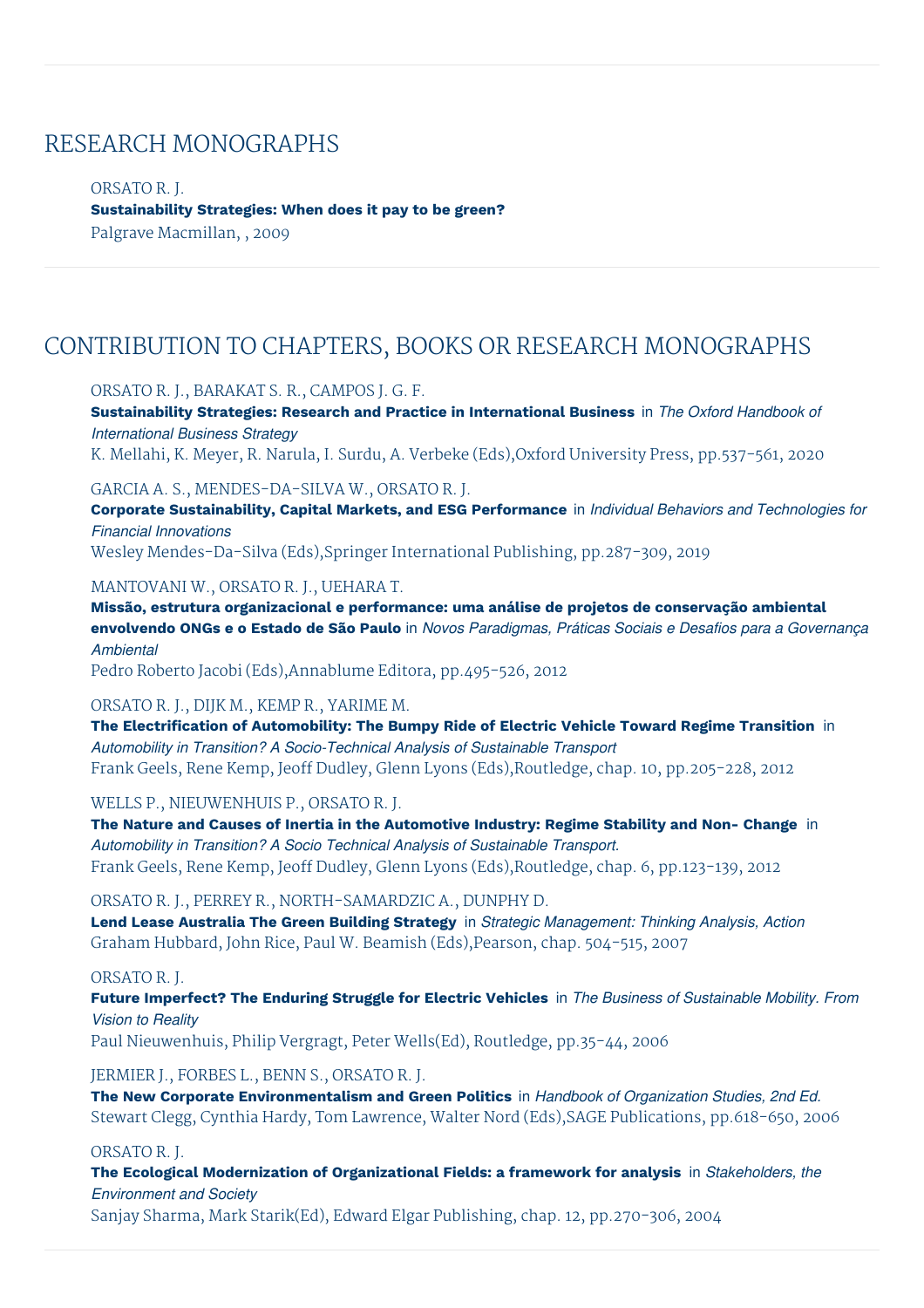## RESEARCH MONOGRAPHS

ORSATO R. J. **Sustainability Strategies: When does it pay to be green?** Palgrave Macmillan, , 2009

## CONTRIBUTION TO CHAPTERS, BOOKS OR RESEARCH MONOGRAPHS

## ORSATO R. J., BARAKAT S. R., CAMPOS J. G. F.

**Sustainability Strategies: Research and Practice in International Business** in *The Oxford Handbook of International Business Strategy*

K. Mellahi, K. Meyer, R. Narula, I. Surdu, A. Verbeke (Eds),Oxford University Press, pp.537-561, 2020

## GARCIA A. S., MENDES-DA-SILVA W., ORSATO R. J.

**Corporate Sustainability, Capital Markets, and ESG Performance** in *Individual Behaviors and Technologies for Financial Innovations*

Wesley Mendes-Da-Silva (Eds),Springer International Publishing, pp.287-309, 2019

## MANTOVANI W., ORSATO R. J., UEHARA T.

**Missão, estrutura organizacional e performance: uma análise de projetos de conservação ambiental** envolvendo ONGs e o Estado de São Paulo in Novos Paradigmas, Práticas Sociais e Desafios para a Governança *Ambiental*

Pedro Roberto Jacobi (Eds),Annablume Editora, pp.495-526, 2012

## ORSATO R. J., DIJK M., KEMP R., YARIME M.

**The Electrification of Automobility: The Bumpy Ride of Electric Vehicle Toward Regime Transition** in *Automobility in Transition? A Socio-Technical Analysis of Sustainable Transport* Frank Geels, Rene Kemp, Jeoff Dudley, Glenn Lyons (Eds),Routledge, chap. 10, pp.205-228, 2012

## WELLS P., NIEUWENHUIS P., ORSATO R. J.

**The Nature and Causes of Inertia in the Automotive Industry: Regime Stability and Non- Change** in *Automobility in Transition? A Socio Technical Analysis of Sustainable Transport.* Frank Geels, Rene Kemp, Jeoff Dudley, Glenn Lyons (Eds),Routledge, chap. 6, pp.123-139, 2012

## ORSATO R. J., PERREY R., NORTH-SAMARDZIC A., DUNPHY D.

**Lend Lease Australia The Green Building Strategy** in *Strategic Management: Thinking Analysis, Action* Graham Hubbard, John Rice, Paul W. Beamish (Eds),Pearson, chap. 504-515, 2007

## ORSATO R. J.

**Future Imperfect? The Enduring Struggle for Electric Vehicles** in *The Business of Sustainable Mobility. From Vision to Reality*

Paul Nieuwenhuis, Philip Vergragt, Peter Wells(Ed), Routledge, pp.35-44, 2006

JERMIER J., FORBES L., BENN S., ORSATO R. J.

**The New Corporate Environmentalism and Green Politics** in *Handbook of Organization Studies, 2nd Ed.* Stewart Clegg, Cynthia Hardy, Tom Lawrence, Walter Nord (Eds),SAGE Publications, pp.618-650, 2006

## ORSATO R. J.

**The Ecological Modernization of Organizational Fields: a framework for analysis** in *Stakeholders, the Environment and Society*

Sanjay Sharma, Mark Starik(Ed), Edward Elgar Publishing, chap. 12, pp.270-306, 2004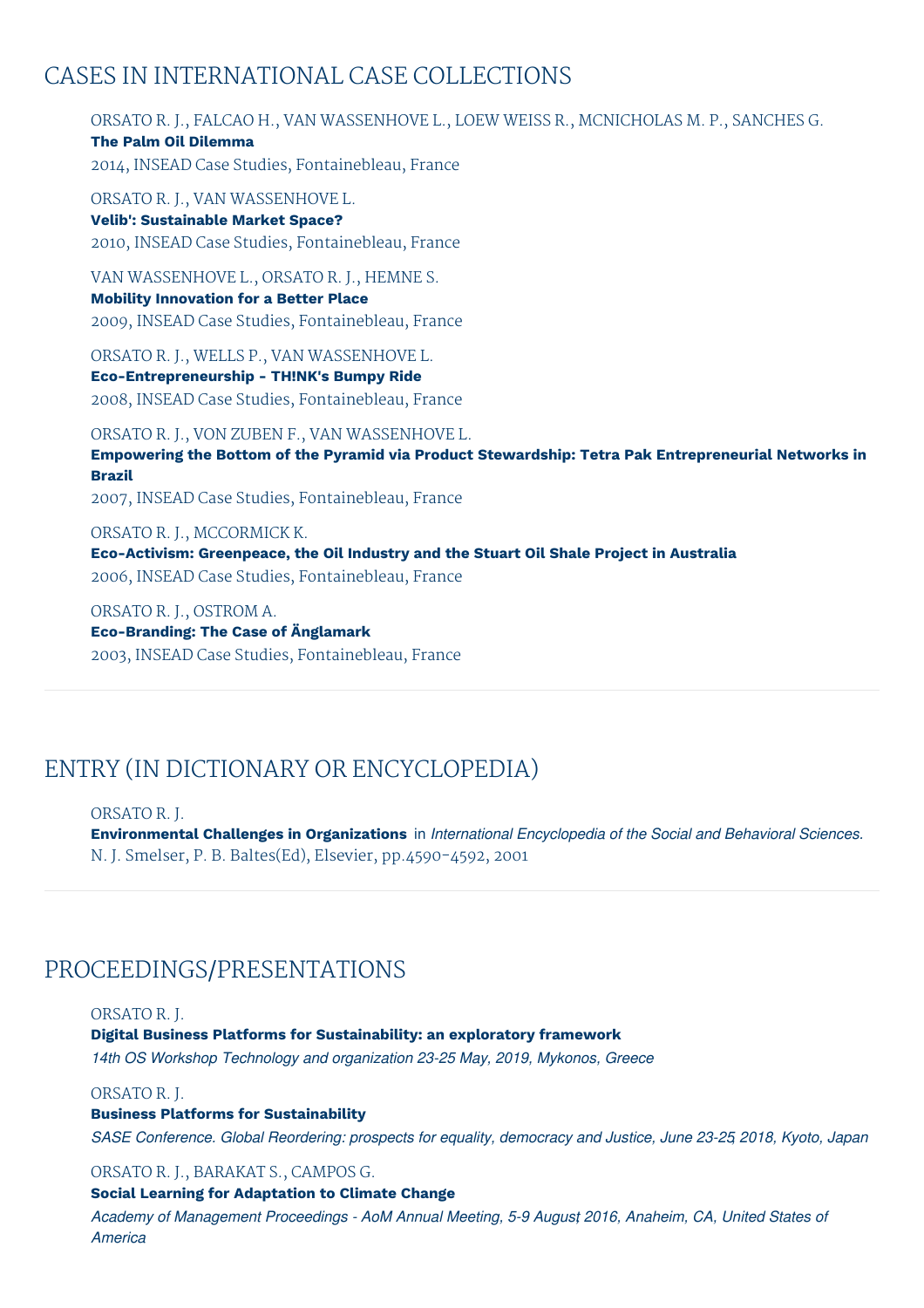## CASES IN INTERNATIONAL CASE COLLECTIONS

ORSATO R. J., FALCAO H., VAN WASSENHOVE L., LOEW WEISS R., MCNICHOLAS M. P., SANCHES G. **The Palm Oil Dilemma** 2014, INSEAD Case Studies, Fontainebleau, France

ORSATO R. J., VAN WASSENHOVE L. **Velib': Sustainable Market Space?** 2010, INSEAD Case Studies, Fontainebleau, France

VAN WASSENHOVE L., ORSATO R. J., HEMNE S. **Mobility Innovation for a Better Place** 2009, INSEAD Case Studies, Fontainebleau, France

ORSATO R. J., WELLS P., VAN WASSENHOVE L. **Eco-Entrepreneurship - TH!NK's Bumpy Ride** 2008, INSEAD Case Studies, Fontainebleau, France

ORSATO R. J., VON ZUBEN F., VAN WASSENHOVE L. **Empowering the Bottom of the Pyramid via Product Stewardship: Tetra Pak Entrepreneurial Networks in Brazil** 2007, INSEAD Case Studies, Fontainebleau, France

ORSATO R. J., MCCORMICK K. **Eco-Activism: Greenpeace, the Oil Industry and the Stuart Oil Shale Project in Australia** 2006, INSEAD Case Studies, Fontainebleau, France

ORSATO R. J., OSTROM A. **Eco-Branding: The Case of Änglamark** 2003, INSEAD Case Studies, Fontainebleau, France

## ENTRY (IN DICTIONARY OR ENCYCLOPEDIA)

ORSATO R. J.

**Environmental Challenges in Organizations** in *International Encyclopedia of the Social and Behavioral Sciences.* N. J. Smelser, P. B. Baltes(Ed), Elsevier, pp.4590-4592, 2001

## PROCEEDINGS/PRESENTATIONS

ORSATO R. J.

**Digital Business Platforms for Sustainability: an exploratory framework**

*14th OS Workshop Technology and organization 23-25 May, 2019, Mykonos, Greece*

ORSATO R. J.

**Business Platforms for Sustainability**

*SASE Conference. Global Reordering: prospects for equality, democracy and Justice, June 23-25, 2018, Kyoto, Japan*

ORSATO R. J., BARAKAT S., CAMPOS G.

## **Social Learning for Adaptation to Climate Change**

*Academy of Management Proceedings - AoM Annual Meeting, 5-9 August, 2016, Anaheim, CA, United States of America*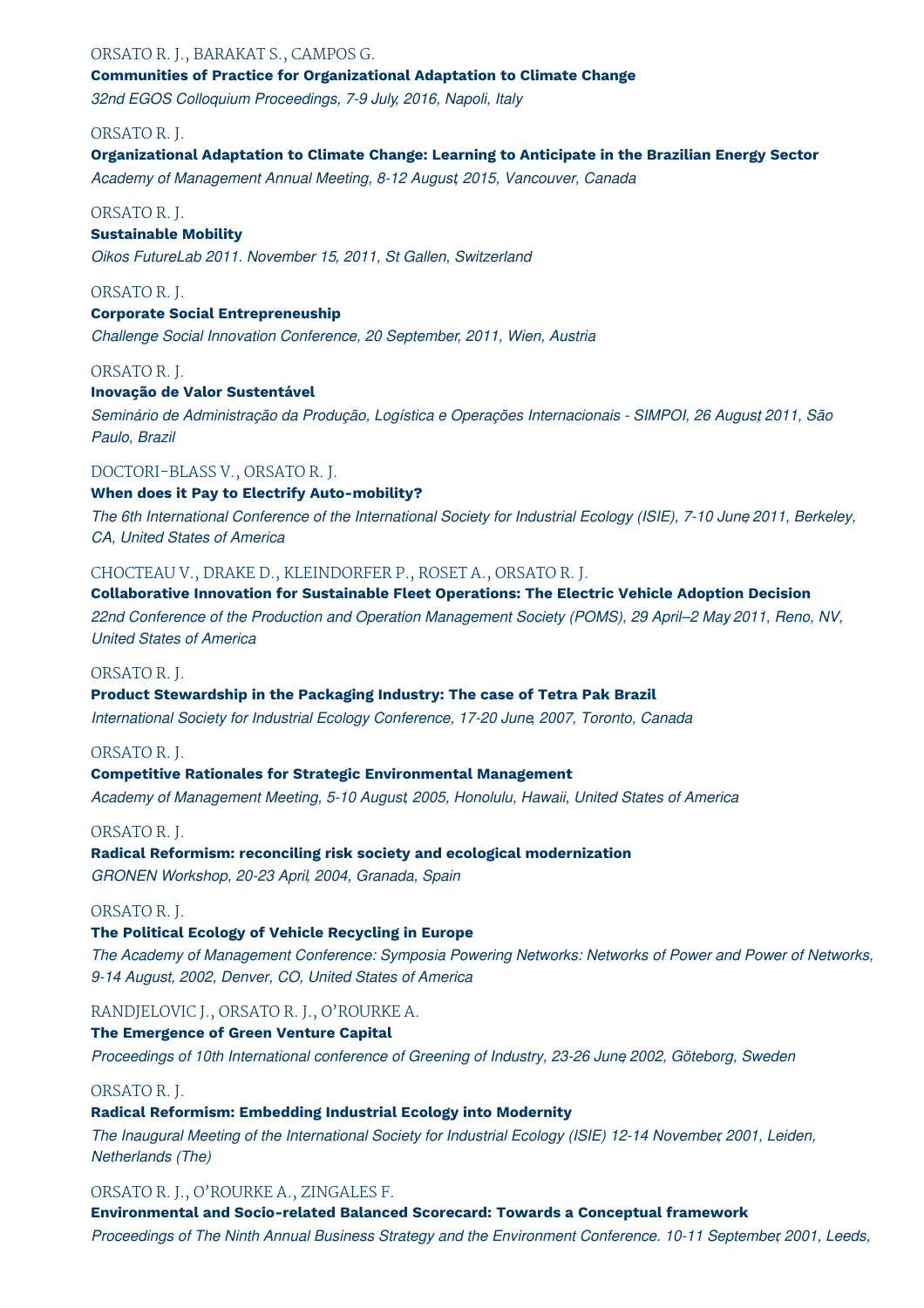## ORSATO R. J., BARAKAT S., CAMPOS G. **Communities of Practice for Organizational Adaptation to Climate Change**

*32nd EGOS Colloquium Proceedings, 7-9 July, 2016, Napoli, Italy*

## ORSATO R. J.

## **Organizational Adaptation to Climate Change: Learning to Anticipate in the Brazilian Energy Sector**

*Academy of Management Annual Meeting, 8-12 August, 2015, Vancouver, Canada*

## ORSATO R. J.

## **Sustainable Mobility**

*Oikos FutureLab 2011. November 15, 2011, St Gallen, Switzerland*

## ORSATO R. J.

## **Corporate Social Entrepreneuship**

*Challenge Social Innovation Conference, 20 September, 2011, Wien, Austria*

## ORSATO R. J.

## **Inovação de Valor Sustentável**

*Seminário de Administração da Produção, Logística e Operações Internacionais - SIMPOI, 26 Augus,t 2011, São Paulo, Brazil*

## DOCTORI-BLASS V., ORSATO R. J.

## **When does it Pay to Electrify Auto-mobility?**

The 6th International Conference of the International Society for Industrial Ecology (ISIE), 7-10 June 2011, Berkeley, *CA, United States of America*

## CHOCTEAU V., DRAKE D., KLEINDORFER P., ROSET A., ORSATO R. J.

#### **Collaborative Innovation for Sustainable Fleet Operations: The Electric Vehicle Adoption Decision**

*22nd Conference of the Production and Operation Management Society (POMS), 29 April–2 May, 2011, Reno, NV, United States of America*

## ORSATO R. J.

#### **Product Stewardship in the Packaging Industry: The case of Tetra Pak Brazil**

*International Society for Industrial Ecology Conference, 17-20 June, 2007, Toronto, Canada*

## ORSATO R. J.

## **Competitive Rationales for Strategic Environmental Management**

*Academy of Management Meeting, 5-10 August, 2005, Honolulu, Hawaii, United States of America*

## ORSATO R. J.

## **Radical Reformism: reconciling risk society and ecological modernization** *GRONEN Workshop, 20-23 April, 2004, Granada, Spain*

## ORSATO R. J.

## **The Political Ecology of Vehicle Recycling in Europe**

*The Academy of Management Conference: Symposia Powering Networks: Networks of Power and Power of Networks, 9-14 August, 2002, Denver, CO, United States of America*

## RANDJELOVIC J., ORSATO R. J., O'ROURKE A.

## **The Emergence of Green Venture Capital**

*Proceedings of 10th International conference of Greening of Industry, 23-26 June, 2002, Göteborg, Sweden*

## ORSATO R. J.

## **Radical Reformism: Embedding Industrial Ecology into Modernity**

*The Inaugural Meeting of the International Society for Industrial Ecology (ISIE) 12-14 November, 2001, Leiden, Netherlands (The)*

## ORSATO R. J., O'ROURKE A., ZINGALES F.

**Environmental and Socio-related Balanced Scorecard: Towards a Conceptual framework** *Proceedings of The Ninth Annual Business Strategy and the Environment Conference. 10-11 September, 2001, Leeds,*